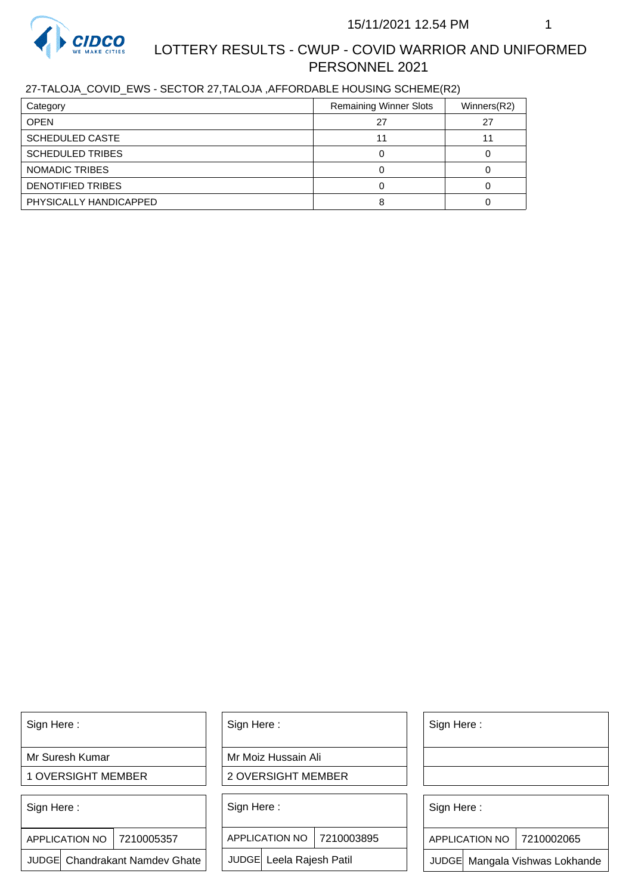

# LOTTERY RESULTS - CWUP - COVID WARRIOR AND UNIFORMED PERSONNEL 2021

## 27-TALOJA\_COVID\_EWS - SECTOR 27,TALOJA ,AFFORDABLE HOUSING SCHEME(R2)

| Category                | <b>Remaining Winner Slots</b> | Winners(R2) |
|-------------------------|-------------------------------|-------------|
| <b>OPEN</b>             | 27                            | 27          |
| <b>SCHEDULED CASTE</b>  |                               |             |
| <b>SCHEDULED TRIBES</b> |                               |             |
| NOMADIC TRIBES          |                               |             |
| DENOTIFIED TRIBES       |                               |             |
| PHYSICALLY HANDICAPPED  |                               |             |

Sign Here :

Mr Suresh Kumar

1 OVERSIGHT MEMBER

Sign Here :

APPLICATION NO | 7210005357

JUDGE Chandrakant Namdev Ghate

Sign Here :

Mr Moiz Hussain Ali

2 OVERSIGHT MEMBER

Sign Here :

APPLICATION NO 7210003895

JUDGE Leela Rajesh Patil

Sign Here :

Sign Here :

APPLICATION NO | 7210002065

Chandrakant Namdev Ghate  $|\quad|$  JUDGE Leela Rajesh Patil  $|\quad|$  JUDGE Mangala Vishwas Lokhande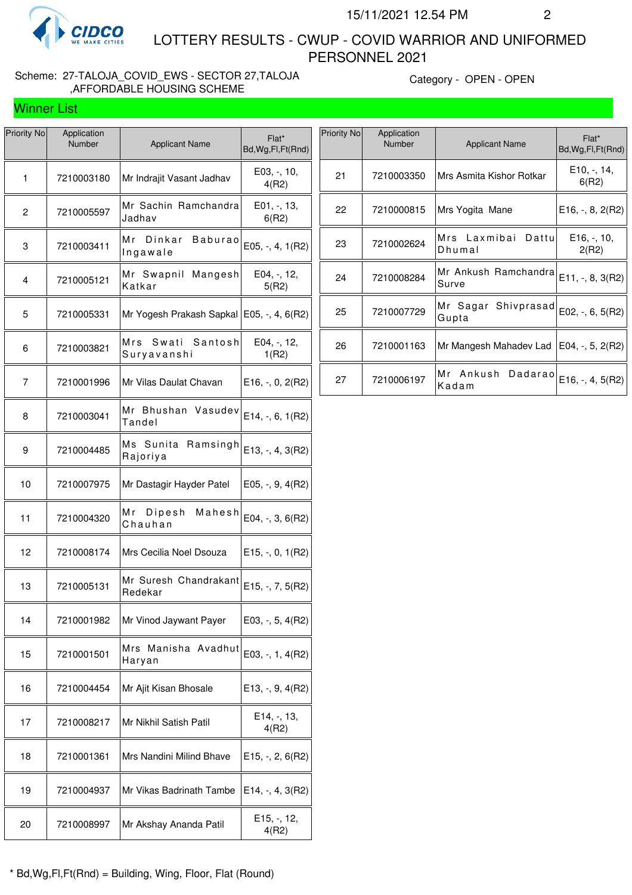

Winner List

 LOTTERY RESULTS - CWUP - COVID WARRIOR AND UNIFORMED PERSONNEL 2021

### Scheme: 27-TALOJA\_COVID\_EWS - SECTOR 27,TALOJA ,AFFORDABLE HOUSING SCHEME

Category - OPEN - OPEN

| <b>Priority No</b> | Application<br>Number | <b>Applicant Name</b>                       | Flat*<br>Bd, Wg, Fl, Ft (Rnd)     |
|--------------------|-----------------------|---------------------------------------------|-----------------------------------|
| 1                  | 7210003180            | Mr Indrajit Vasant Jadhav                   | $E03, -110,$<br>4(R2)             |
| $\overline{c}$     | 7210005597            | Mr Sachin Ramchandra<br>Jadhav              | $E01, -13,$<br>6(R2)              |
| 3                  | 7210003411            | Mr Dinkar<br><b>Baburao</b><br>Ingawale     | E05, -, 4, 1(R2)                  |
| $\overline{4}$     | 7210005121            | Mr Swapnil<br>Mangesh<br>Katkar             | E04, -, 12,<br>5(R2)              |
| 5                  | 7210005331            | Mr Yogesh Prakash Sapkal   E05, -, 4, 6(R2) |                                   |
| 6                  | 7210003821            | Swati<br>Santosh<br>Mrs<br>Suryavanshi      | E04, -, 12,<br>1(R2)              |
| 7                  | 7210001996            | Mr Vilas Daulat Chavan                      | $E16, -, 0, 2(R2)$                |
| 8                  | 7210003041            | Mr Bhushan Vasudev<br>Tandel                | E14, -, 6, 1(R2)                  |
| 9                  | 7210004485            | Ms Sunita<br>Ramsingh<br>Rajoriya           | E13, -, 4, 3(R2)                  |
| 10                 | 7210007975            | Mr Dastagir Hayder Patel                    | $E05, -, 9, 4(R2)$                |
| 11                 | 7210004320            | Mr Dipesh<br>Mahesh<br>Chauhan              | E04, -, 3, 6(R2)                  |
| 12                 | 7210008174            | Mrs Cecilia Noel Dsouza                     | $E15, -, 0, 1(R2)$                |
| 13                 | 7210005131            | Mr Suresh Chandrakant<br>Redekar            | E15, -, 7, 5(R2)                  |
| 14                 | 7210001982            | Mr Vinod Jaywant Payer                      | E03, -, 5, 4(R2)                  |
| 15                 | 7210001501            | Mrs<br>Manisha Avadhut<br>Haryan            | $E03, -1, 4(R2)$                  |
| 16                 | 7210004454            | Mr Ajit Kisan Bhosale                       | $E13, -, 9, 4(R2)$                |
| 17                 | 7210008217            | Mr Nikhil Satish Patil                      | E14, -, 13,<br>4(R2)              |
| 18                 | 7210001361            | Mrs Nandini Milind Bhave                    | $E15, -2, 6(R2)$                  |
| 19                 | 7210004937            | Mr Vikas Badrinath Tambe                    | E14, -, 4, 3(R2)                  |
| 20                 | 7210008997            | Mr Akshay Ananda Patil                      | E <sub>15</sub> , -, 12,<br>4(R2) |

| Priority No | Application<br>Number | <b>Applicant Name</b>            | Flat*<br>Bd, Wg, Fl, Ft (Rnd)                 |
|-------------|-----------------------|----------------------------------|-----------------------------------------------|
| 21          | 7210003350            | Mrs Asmita Kishor Rotkar         | E <sub>10</sub> , -, 14,<br>6(R2)             |
| 22          | 7210000815            | Mrs Yogita Mane                  | $E16, -, 8, 2(R2)$                            |
| 23          | 7210002624            | Mrs Laxmibai<br>Dattul<br>Dhumal | E <sub>16</sub> , -, <sub>10</sub> ,<br>2(R2) |
| 24          | 7210008284            | Mr Ankush Ramchandra<br>Surve    | $E11, -, 8, 3(R2)$                            |
| 25          | 7210007729            | Shivprasad<br>Mr Sagar<br>Gupta  | E02, $-$ , 6, 5(R2)                           |
| 26          | 7210001163            | Mr Mangesh Mahadev Lad           | E04, $-$ , 5, 2(R2)                           |
| 27          | 7210006197            | Mr Ankush<br>Dadarao<br>Kadam    | $E16, -, 4, 5(R2)$                            |